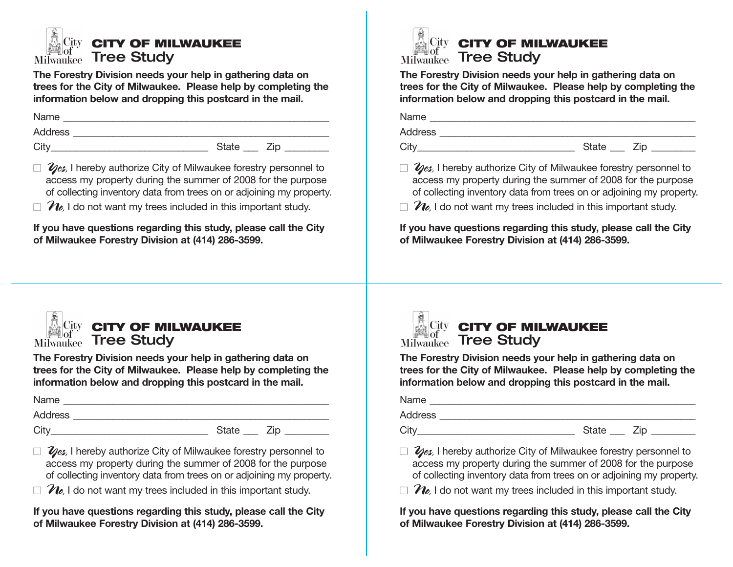

**The Forestry Division needs your help in gathering data on trees for the City of Milwaukee. Please help by completing the information below and dropping this postcard in the mail.**

Name \_\_\_\_\_\_\_\_\_\_\_\_\_\_\_\_\_\_\_\_\_\_\_\_\_\_\_\_\_\_\_\_\_\_\_\_\_\_\_\_\_\_\_\_\_\_\_\_\_\_\_\_\_\_ Address \_\_\_\_\_\_\_\_\_\_\_\_\_\_\_\_\_\_\_\_\_\_\_\_\_\_\_\_\_\_\_\_\_\_\_\_\_\_\_\_\_\_\_\_\_\_\_\_\_\_\_\_

City\_\_\_\_\_\_\_\_\_\_\_\_\_\_\_\_\_\_\_\_\_\_\_\_\_\_\_\_\_\_\_\_ State \_\_\_ Zip \_\_\_\_\_\_\_\_\_

- □ 2/es, I hereby authorize City of Milwaukee forestry personnel to access my property during the summer of 2008 for the purpose of collecting inventory data from trees on or adjoining my property.
- $\Box$   $\mathcal{U}_e$ , I do not want my trees included in this important study.

**If you have questions regarding this study, please call the City of Milwaukee Forestry Division at (414) 286-3599.**



## *CITY OF MILWAUKEE* Milwaukee Tree Study

**The Forestry Division needs your help in gathering data on trees for the City of Milwaukee. Please help by completing the information below and dropping this postcard in the mail.**

| Name    |              |     |
|---------|--------------|-----|
| Address |              |     |
| City    | <b>State</b> | 7in |

- □ 2es, I hereby authorize City of Milwaukee forestry personnel to access my property during the summer of 2008 for the purpose of collecting inventory data from trees on or adjoining my property.
- $\Box$   $\mathcal{U}_e$ , I do not want my trees included in this important study.

**If you have questions regarding this study, please call the City of Milwaukee Forestry Division at (414) 286-3599.**



**The Forestry Division needs your help in gathering data on trees for the City of Milwaukee. Please help by completing the information below and dropping this postcard in the mail.**

| Name    |  |
|---------|--|
| Address |  |

City City City State  $\overline{C}$  State  $\overline{C}$  is  $\overline{C}$ 

□ 2es, I hereby authorize City of Milwaukee forestry personnel to access my property during the summer of 2008 for the purpose of collecting inventory data from trees on or adjoining my property.

 $\overline{\phantom{a}}$  , and the contribution of the contribution of the contribution of the contribution of the contribution of the contribution of the contribution of the contribution of the contribution of the contribution of the

 $\Box$   $\mathcal{U}_e$ , I do not want my trees included in this important study.

**If you have questions regarding this study, please call the City of Milwaukee Forestry Division at (414) 286-3599.**



## *City* CITY OF MILWAUKEE Milwaukee Tree Study

**The Forestry Division needs your help in gathering data on trees for the City of Milwaukee. Please help by completing the information below and dropping this postcard in the mail.**

| Name           |       |  |
|----------------|-------|--|
| <b>Address</b> |       |  |
| City           | State |  |

□ 2es, I hereby authorize City of Milwaukee forestry personnel to access my property during the summer of 2008 for the purpose of collecting inventory data from trees on or adjoining my property.

 $\Box$   $\mathcal{U}_e$ , I do not want my trees included in this important study.

**If you have questions regarding this study, please call the City of Milwaukee Forestry Division at (414) 286-3599.**